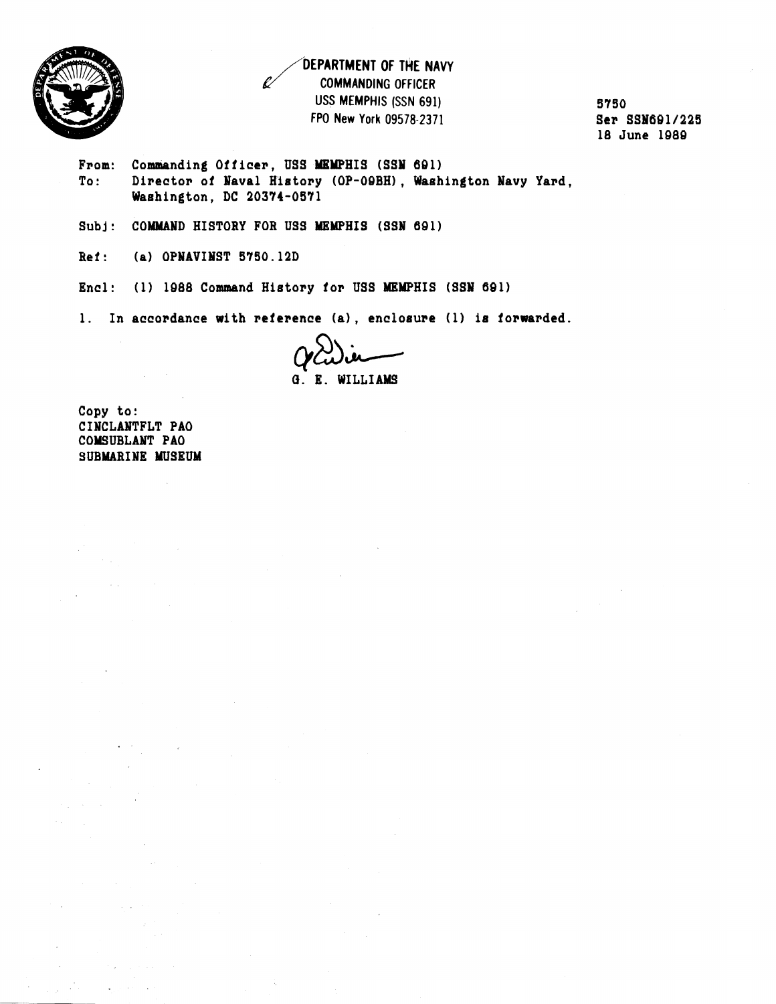

## **DEPARTMENT OF THE NAVY**<br>**COMMANDING OFFICER USS MEMPHIS (SSN 691) FPO New York 09578-2371**

**5750 Ser SSY691/225 18 June 1009** 

- From: Commanding Officer, USS MEMPHIS (SSN 691) **To: Director of Naval History (OP-OQBH), Washington Navy Yard, Washington, DC 203'14-0571**
- **Subj: COMMAND HISTORY FOR USS MEMPHIS (SSN 601)**
- **Ref:** (a) **OPNAVINST 5750.12D**
- **Encl: (1) 1088 Command History for USS MEMPHIS (SSN 691)**
- **1. In accordance with reference (a), encloeure (1) ie forwarded.**

*Q&\**  **0. E. WILLIAMS** 

**Copy to: CINCLANTFLT PA0 COMSUBLANT PAO SUBMARINE MUSEUM** 

 $\Delta\sim 10$ 

 $\frac{1}{2}$  ,  $\frac{1}{2}$  ,

 $\sim 10^{-1}$ 

State State

 $\Delta$  , where  $\Delta$  ,  $\Delta$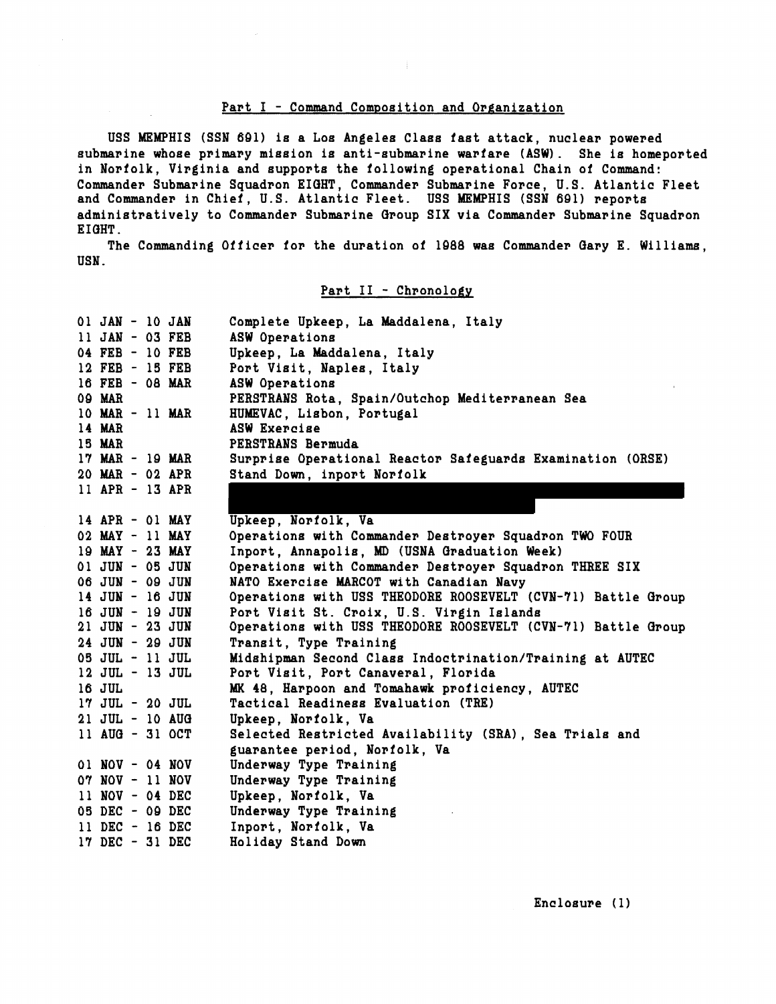## **Part I** - **Command Composition and Organization**

**USS MEMPHIS (SSN 891) is a Lo8 Angeles Class fast attack, nuclear powered submarine whose primary mission is anti-submarine warfare (ASW). She is homeported in Norfolk, Virginia and eupports the following operational Chain of Command: Commander Submarine Squadron EIOHT, Commander Submarine Force, U.S. Atlantic Fleet and Commander in Chief, U.S. Atlantic Fleet. USS MEMPHIS (SSN 891) reports administratively to Commander Submarine CIroup SIX via Commander Submarine Squadron EICIHT** .

**The Commanding Officer for the duration of 1988 was Commander CIary E. Williame, USN.** 

Part II - Chronology

| $01$ JAN - 10 JAN   |  | Complete Upkeep, La Maddalena, Italy                         |
|---------------------|--|--------------------------------------------------------------|
| $11$ JAN - 03 FEB   |  | ASW Operations                                               |
| 04 FEB - 10 FEB     |  | Upkeep, La Maddalena, Italy                                  |
| 12 FEB - 15 FEB     |  | Port Visit, Naples, Italy                                    |
| 16 FEB - 08 MAR     |  | ASW Operations                                               |
| 09 MAR              |  | PERSTRANS Rota, Spain/Outchop Mediterranean Sea              |
| $10$ MAR $-11$ MAR  |  | HUMEVAC, Lisbon, Portugal                                    |
| 14 MAR              |  | ASW Exercise                                                 |
| 15 MAR              |  | PERSTRANS Bermuda                                            |
| $17$ MAR - $19$ MAR |  | Surprise Operational Reactor Safeguards Examination (ORSE)   |
| $20$ MAR - 02 APR   |  | Stand Down, inport Norfolk                                   |
| 11 APR $-$ 13 APR   |  |                                                              |
|                     |  |                                                              |
| $14$ APR - 01 MAY   |  | Upkeep, Norfolk, Va                                          |
| $02$ MAY - 11 MAY   |  | Operations with Commander Destroyer Squadron TWO FOUR        |
| 19 MAY - 23 MAY     |  | Inport, Annapolis, MD (USNA Graduation Week)                 |
| $01$ JUN - $05$ JUN |  | Operations with Commander Destroyer Squadron THREE SIX       |
| 06 JUN - 09 JUN     |  | NATO Exercise MARCOT with Canadian Navy                      |
| 14 JUN - 16 JUN     |  | Operations with USS THEODORE ROOSEVELT (CVN-71) Battle Group |
| 16 JUN - 19 JUN     |  | Port Visit St. Croix, U.S. Virgin Islands                    |
| 21 JUN - 23 JUN     |  | Operations with USS THEODORE ROOSEVELT (CVN-71) Battle Group |
| 24 JUN - 29 JUN     |  | Transit, Type Training                                       |
| 05 JUL - 11 JUL     |  | Midshipman Second Class Indoctrination/Training at AUTEC     |
| 12 JUL - 13 JUL     |  | Port Visit, Port Canaveral, Florida                          |
| 16 JUL              |  | MK 48, Harpoon and Tomahawk proficiency, AUTEC               |
| 17 JUL - 20 JUL     |  | Tactical Readiness Evaluation (TRE)                          |
| 21 JUL - 10 AUG     |  | Upkeep, Norfolk, Va                                          |
| 11 AUG - 31 OCT     |  | Selected Restricted Availability (SRA), Sea Trials and       |
|                     |  | guarantee period, Norfolk, Va                                |
| $01$ NOV - 04 NOV   |  | Underway Type Training                                       |
| 07 NOV - 11 NOV     |  | Underway Type Training                                       |
| 11 NOV - 04 DEC     |  | Upkeep, Norfolk, Va                                          |
| 05 DEC - 09 DEC     |  | Underway Type Training                                       |
| 11 DEC $-$ 16 DEC   |  | Inport, Norfolk, Va                                          |
| 17 DEC - 31 DEC     |  | Holiday Stand Down                                           |